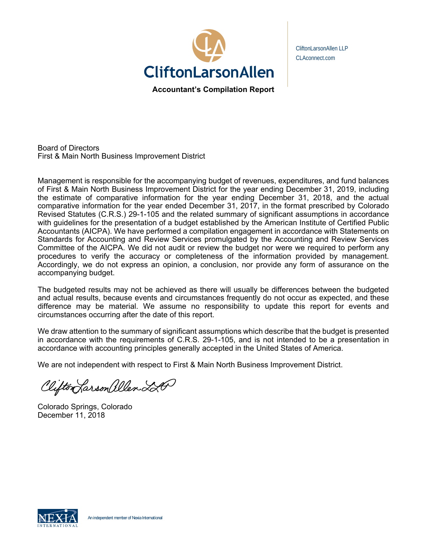

CliftonLarsonAllen LLP CLAconnect.com

Board of Directors First & Main North Business Improvement District

Management is responsible for the accompanying budget of revenues, expenditures, and fund balances of First & Main North Business Improvement District for the year ending December 31, 2019, including the estimate of comparative information for the year ending December 31, 2018, and the actual comparative information for the year ended December 31, 2017, in the format prescribed by Colorado Revised Statutes (C.R.S.) 29-1-105 and the related summary of significant assumptions in accordance with guidelines for the presentation of a budget established by the American Institute of Certified Public Accountants (AICPA). We have performed a compilation engagement in accordance with Statements on Standards for Accounting and Review Services promulgated by the Accounting and Review Services Committee of the AICPA. We did not audit or review the budget nor were we required to perform any procedures to verify the accuracy or completeness of the information provided by management. Accordingly, we do not express an opinion, a conclusion, nor provide any form of assurance on the accompanying budget.

The budgeted results may not be achieved as there will usually be differences between the budgeted and actual results, because events and circumstances frequently do not occur as expected, and these difference may be material. We assume no responsibility to update this report for events and circumstances occurring after the date of this report.

We draw attention to the summary of significant assumptions which describe that the budget is presented in accordance with the requirements of C.R.S. 29-1-105, and is not intended to be a presentation in accordance with accounting principles generally accepted in the United States of America.

We are not independent with respect to First & Main North Business Improvement District.

Clifton Larson allen LA

Colorado Springs, Colorado December 11, 2018

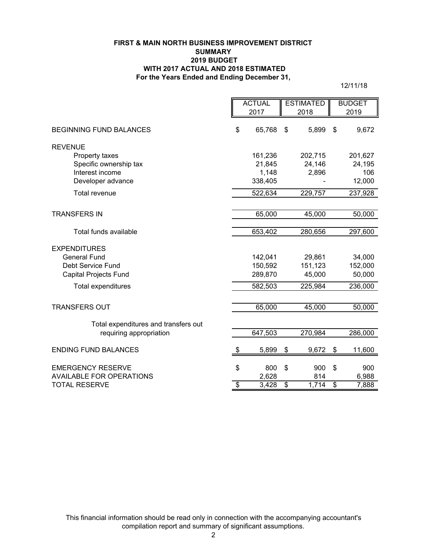#### **FIRST & MAIN NORTH BUSINESS IMPROVEMENT DISTRICT SUMMARY 2019 BUDGET WITH 2017 ACTUAL AND 2018 ESTIMATED For the Years Ended and Ending December 31,**

12/11/18

|                                      | <b>ACTUAL</b>                    |         | <b>ESTIMATED</b> |         | <b>BUDGET</b>              |         |
|--------------------------------------|----------------------------------|---------|------------------|---------|----------------------------|---------|
|                                      | 2017                             |         | 2018             |         | 2019                       |         |
| <b>BEGINNING FUND BALANCES</b>       | \$                               | 65,768  | \$               | 5,899   | $\mathfrak{F}$             | 9,672   |
| <b>REVENUE</b>                       |                                  |         |                  |         |                            |         |
| Property taxes                       |                                  | 161,236 |                  | 202,715 |                            | 201,627 |
| Specific ownership tax               |                                  | 21,845  |                  | 24,146  |                            | 24,195  |
| Interest income                      |                                  | 1,148   |                  | 2,896   |                            | 106     |
| Developer advance                    |                                  | 338,405 |                  |         |                            | 12,000  |
| <b>Total revenue</b>                 |                                  | 522,634 |                  | 229,757 |                            | 237,928 |
|                                      |                                  |         |                  |         |                            |         |
| <b>TRANSFERS IN</b>                  |                                  | 65,000  |                  | 45,000  |                            | 50,000  |
| Total funds available                |                                  | 653,402 |                  | 280,656 |                            | 297,600 |
| <b>EXPENDITURES</b>                  |                                  |         |                  |         |                            |         |
| <b>General Fund</b>                  |                                  | 142,041 |                  | 29,861  |                            | 34,000  |
| Debt Service Fund                    |                                  | 150,592 |                  | 151,123 |                            | 152,000 |
| <b>Capital Projects Fund</b>         |                                  | 289,870 |                  | 45,000  |                            | 50,000  |
| Total expenditures                   |                                  | 582,503 |                  | 225,984 |                            | 236,000 |
|                                      |                                  |         |                  |         |                            |         |
| <b>TRANSFERS OUT</b>                 |                                  | 65,000  |                  | 45,000  |                            | 50,000  |
| Total expenditures and transfers out |                                  |         |                  |         |                            |         |
| requiring appropriation              |                                  | 647,503 |                  | 270,984 |                            | 286,000 |
| <b>ENDING FUND BALANCES</b>          | \$                               | 5,899   | \$               | 9,672   | $\boldsymbol{\mathsf{\$}}$ | 11,600  |
| <b>EMERGENCY RESERVE</b>             | \$                               | 800     | \$               | 900     | \$                         | 900     |
| <b>AVAILABLE FOR OPERATIONS</b>      |                                  | 2,628   |                  | 814     |                            | 6,988   |
| <b>TOTAL RESERVE</b>                 | $\overline{\boldsymbol{\theta}}$ | 3,428   | \$               | 1,714   | \$                         | 7,888   |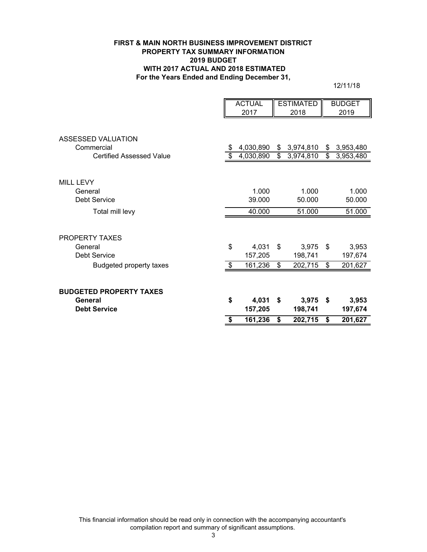#### **FIRST & MAIN NORTH BUSINESS IMPROVEMENT DISTRICT PROPERTY TAX SUMMARY INFORMATION 2019 BUDGET WITH 2017 ACTUAL AND 2018 ESTIMATED For the Years Ended and Ending December 31,**

12/11/18

|                                 | <b>ACTUAL</b> |           | <b>ESTIMATED</b> |           | <b>BUDGET</b>   |
|---------------------------------|---------------|-----------|------------------|-----------|-----------------|
|                                 |               | 2017      |                  | 2018      | 2019            |
|                                 |               |           |                  |           |                 |
| ASSESSED VALUATION              |               |           |                  |           |                 |
| Commercial                      |               | 4,030,890 | \$               | 3,974,810 | \$<br>3,953,480 |
| <b>Certified Assessed Value</b> | \$            | 4,030,890 | \$               | 3,974,810 | \$<br>3,953,480 |
|                                 |               |           |                  |           |                 |
| <b>MILL LEVY</b>                |               |           |                  |           |                 |
| General                         |               | 1.000     |                  | 1.000     | 1.000           |
| Debt Service                    |               | 39.000    |                  | 50.000    | 50.000          |
| Total mill levy                 |               | 40.000    |                  | 51.000    | 51.000          |
|                                 |               |           |                  |           |                 |
| <b>PROPERTY TAXES</b>           |               |           |                  |           |                 |
| General                         | \$            | 4,031     | \$               | 3,975     | \$<br>3,953     |
| <b>Debt Service</b>             |               | 157,205   |                  | 198,741   | 197,674         |
| <b>Budgeted property taxes</b>  | \$            | 161,236   | \$               | 202,715   | \$<br>201,627   |
|                                 |               |           |                  |           |                 |
| <b>BUDGETED PROPERTY TAXES</b>  |               |           |                  |           |                 |
| General                         | \$            | 4,031     | \$               | 3,975     | \$<br>3,953     |
| <b>Debt Service</b>             |               | 157,205   |                  | 198,741   | 197,674         |
|                                 |               | 161,236   | \$               | 202,715   | \$<br>201,627   |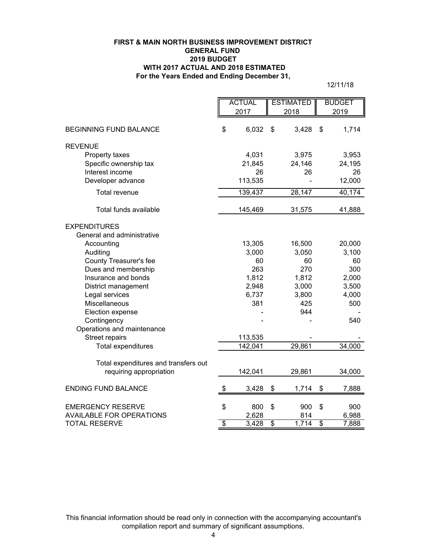#### **For the Years Ended and Ending December 31, FIRST & MAIN NORTH BUSINESS IMPROVEMENT DISTRICT GENERAL FUND 2019 BUDGET WITH 2017 ACTUAL AND 2018 ESTIMATED**

12/11/18

|                                      | <b>ACTUAL</b>   |              | <b>ESTIMATED</b> |              | <b>BUDGET</b>   |              |
|--------------------------------------|-----------------|--------------|------------------|--------------|-----------------|--------------|
|                                      | 2017            |              | 2018             |              | 2019            |              |
|                                      |                 |              |                  |              |                 |              |
| <b>BEGINNING FUND BALANCE</b>        | \$              | 6,032        | \$               | 3,428        | \$              | 1,714        |
| <b>REVENUE</b>                       |                 |              |                  |              |                 |              |
| Property taxes                       |                 | 4,031        |                  | 3,975        |                 | 3,953        |
| Specific ownership tax               |                 | 21,845       |                  | 24,146       |                 | 24,195       |
| Interest income                      |                 | 26           |                  | 26           |                 | 26           |
| Developer advance                    |                 | 113,535      |                  |              |                 | 12,000       |
| <b>Total revenue</b>                 |                 | 139,437      |                  | 28,147       |                 | 40,174       |
| Total funds available                |                 | 145,469      |                  | 31,575       |                 | 41,888       |
| <b>EXPENDITURES</b>                  |                 |              |                  |              |                 |              |
| General and administrative           |                 |              |                  |              |                 |              |
| Accounting                           |                 | 13,305       |                  | 16,500       |                 | 20,000       |
| Auditing                             |                 | 3,000        |                  | 3,050        |                 | 3,100        |
| County Treasurer's fee               |                 | 60           |                  | 60           |                 | 60           |
| Dues and membership                  |                 | 263          |                  | 270          |                 | 300          |
| Insurance and bonds                  |                 | 1,812        |                  | 1,812        |                 | 2,000        |
| District management                  |                 | 2,948        |                  | 3,000        |                 | 3,500        |
| Legal services<br>Miscellaneous      |                 | 6,737<br>381 |                  | 3,800<br>425 |                 | 4,000<br>500 |
| Election expense                     |                 |              |                  | 944          |                 |              |
| Contingency                          |                 |              |                  |              |                 | 540          |
| Operations and maintenance           |                 |              |                  |              |                 |              |
| Street repairs                       |                 | 113,535      |                  |              |                 |              |
| Total expenditures                   |                 | 142,041      |                  | 29,861       |                 | 34,000       |
|                                      |                 |              |                  |              |                 |              |
| Total expenditures and transfers out |                 |              |                  |              |                 |              |
| requiring appropriation              |                 | 142,041      |                  | 29,861       |                 | 34,000       |
| <b>ENDING FUND BALANCE</b>           | \$              | 3,428        | \$               | 1,714        | \$              | 7,888        |
| <b>EMERGENCY RESERVE</b>             | \$              | 800          | \$               | 900          | \$              | 900          |
| <b>AVAILABLE FOR OPERATIONS</b>      |                 | 2,628        |                  | 814          |                 | 6,988        |
| <b>TOTAL RESERVE</b>                 | $\overline{\$}$ | 3,428        | $\overline{\$}$  | 1,714        | $\overline{\$}$ | 7,888        |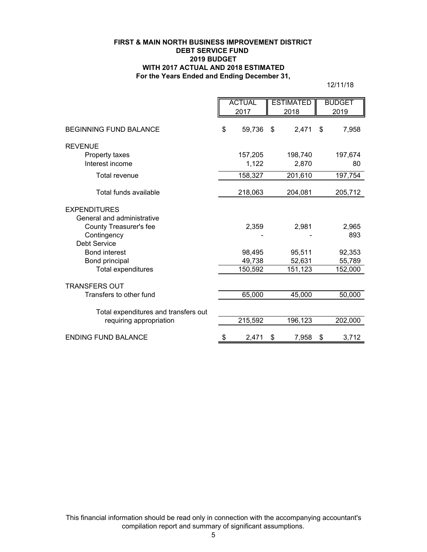#### **FIRST & MAIN NORTH BUSINESS IMPROVEMENT DISTRICT DEBT SERVICE FUND 2019 BUDGET WITH 2017 ACTUAL AND 2018 ESTIMATED For the Years Ended and Ending December 31,**

12/11/18

|                                      | <b>ACTUAL</b> |         | <b>ESTIMATED</b> |         | <b>BUDGET</b> |         |
|--------------------------------------|---------------|---------|------------------|---------|---------------|---------|
|                                      | 2017          |         | 2018             |         |               | 2019    |
| BEGINNING FUND BALANCE               | \$            | 59,736  | \$               | 2,471   | \$            | 7,958   |
| <b>REVENUE</b>                       |               |         |                  |         |               |         |
| Property taxes                       |               | 157,205 |                  | 198,740 |               | 197,674 |
| Interest income                      |               | 1,122   |                  | 2,870   |               | 80      |
| Total revenue                        |               | 158,327 |                  | 201,610 |               | 197,754 |
| Total funds available                |               | 218,063 |                  | 204,081 |               | 205,712 |
| <b>EXPENDITURES</b>                  |               |         |                  |         |               |         |
| General and administrative           |               |         |                  |         |               |         |
| County Treasurer's fee               |               | 2,359   |                  | 2,981   |               | 2,965   |
| Contingency                          |               |         |                  |         |               | 893     |
| <b>Debt Service</b>                  |               |         |                  |         |               |         |
| <b>Bond interest</b>                 |               | 98,495  |                  | 95,511  |               | 92,353  |
| Bond principal                       |               | 49,738  |                  | 52,631  |               | 55,789  |
| Total expenditures                   |               | 150,592 |                  | 151,123 |               | 152,000 |
| <b>TRANSFERS OUT</b>                 |               |         |                  |         |               |         |
| Transfers to other fund              |               | 65,000  |                  | 45,000  |               | 50,000  |
| Total expenditures and transfers out |               |         |                  |         |               |         |
| requiring appropriation              |               | 215,592 |                  | 196,123 |               | 202,000 |
| <b>ENDING FUND BALANCE</b>           | \$            | 2,471   | \$               | 7,958   | \$            | 3,712   |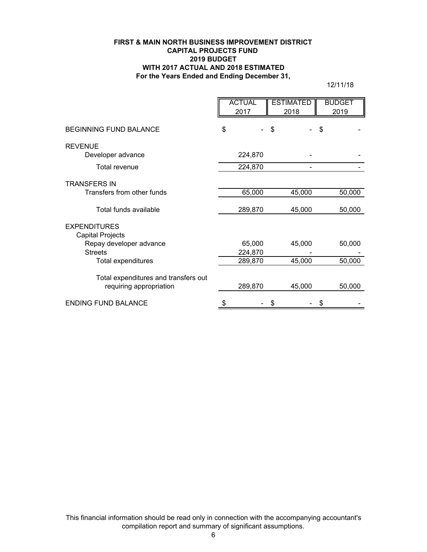#### **FIRST & MAIN NORTH BUSINESS IMPROVEMENT DISTRICT CAPITAL PROJECTS FUND 2019 BUDGET WITH 2017 ACTUAL AND 2018 ESTIMATED For the Years Ended and Ending December 31,**

12/11/18

|                                                                 | <b>ACTUAL</b><br>2017 |                   | <b>ESTIMATED</b><br>2018 | <b>BUDGET</b><br>2019 |
|-----------------------------------------------------------------|-----------------------|-------------------|--------------------------|-----------------------|
| <b>BEGINNING FUND BALANCE</b>                                   | \$                    |                   | \$                       | \$                    |
| <b>REVENUE</b>                                                  |                       |                   |                          |                       |
| Developer advance                                               |                       | 224,870           |                          |                       |
| Total revenue                                                   |                       | 224,870           |                          |                       |
| <b>TRANSFERS IN</b>                                             |                       |                   |                          |                       |
| Transfers from other funds                                      |                       | 65,000            | 45,000                   | 50,000                |
| Total funds available                                           |                       | 289,870           | 45,000                   | 50,000                |
| <b>EXPENDITURES</b><br>Capital Projects                         |                       |                   |                          |                       |
| Repay developer advance<br><b>Streets</b>                       |                       | 65,000<br>224,870 | 45,000                   | 50,000                |
| Total expenditures                                              |                       | 289,870           | 45,000                   | 50,000                |
| Total expenditures and transfers out<br>requiring appropriation |                       | 289,870           | 45,000                   | 50,000                |
| <b>ENDING FUND BALANCE</b>                                      | \$                    |                   | \$                       | \$                    |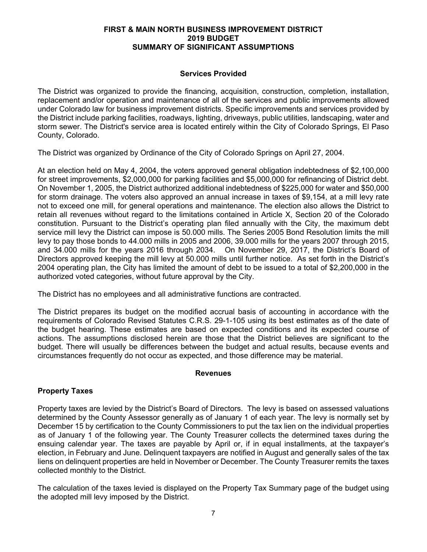## **FIRST & MAIN NORTH BUSINESS IMPROVEMENT DISTRICT 2019 BUDGET SUMMARY OF SIGNIFICANT ASSUMPTIONS**

## **Services Provided**

The District was organized to provide the financing, acquisition, construction, completion, installation, replacement and/or operation and maintenance of all of the services and public improvements allowed under Colorado law for business improvement districts. Specific improvements and services provided by the District include parking facilities, roadways, lighting, driveways, public utilities, landscaping, water and storm sewer. The District's service area is located entirely within the City of Colorado Springs, El Paso County, Colorado.

The District was organized by Ordinance of the City of Colorado Springs on April 27, 2004.

At an election held on May 4, 2004, the voters approved general obligation indebtedness of \$2,100,000 for street improvements, \$2,000,000 for parking facilities and \$5,000,000 for refinancing of District debt. On November 1, 2005, the District authorized additional indebtedness of \$225,000 for water and \$50,000 for storm drainage. The voters also approved an annual increase in taxes of \$9,154, at a mill levy rate not to exceed one mill, for general operations and maintenance. The election also allows the District to retain all revenues without regard to the limitations contained in Article X, Section 20 of the Colorado constitution. Pursuant to the District's operating plan filed annually with the City, the maximum debt service mill levy the District can impose is 50.000 mills. The Series 2005 Bond Resolution limits the mill levy to pay those bonds to 44.000 mills in 2005 and 2006, 39.000 mills for the years 2007 through 2015, and 34.000 mills for the years 2016 through 2034. On November 29, 2017, the District's Board of Directors approved keeping the mill levy at 50.000 mills until further notice. As set forth in the District's 2004 operating plan, the City has limited the amount of debt to be issued to a total of \$2,200,000 in the authorized voted categories, without future approval by the City.

The District has no employees and all administrative functions are contracted.

The District prepares its budget on the modified accrual basis of accounting in accordance with the requirements of Colorado Revised Statutes C.R.S. 29-1-105 using its best estimates as of the date of the budget hearing. These estimates are based on expected conditions and its expected course of actions. The assumptions disclosed herein are those that the District believes are significant to the budget. There will usually be differences between the budget and actual results, because events and circumstances frequently do not occur as expected, and those difference may be material.

#### **Revenues**

## **Property Taxes**

Property taxes are levied by the District's Board of Directors. The levy is based on assessed valuations determined by the County Assessor generally as of January 1 of each year. The levy is normally set by December 15 by certification to the County Commissioners to put the tax lien on the individual properties as of January 1 of the following year. The County Treasurer collects the determined taxes during the ensuing calendar year. The taxes are payable by April or, if in equal installments, at the taxpayer's election, in February and June. Delinquent taxpayers are notified in August and generally sales of the tax liens on delinquent properties are held in November or December. The County Treasurer remits the taxes collected monthly to the District.

The calculation of the taxes levied is displayed on the Property Tax Summary page of the budget using the adopted mill levy imposed by the District.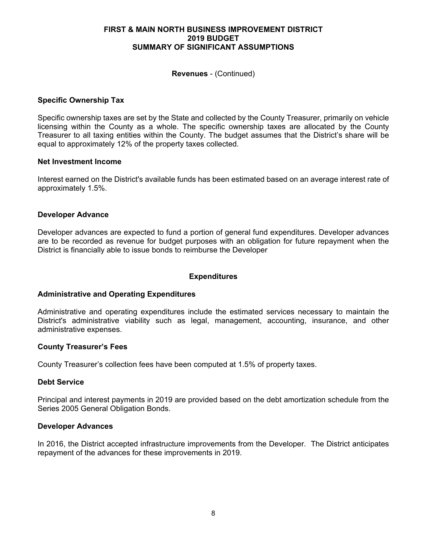#### **FIRST & MAIN NORTH BUSINESS IMPROVEMENT DISTRICT 2019 BUDGET SUMMARY OF SIGNIFICANT ASSUMPTIONS**

#### **Revenues** - (Continued)

#### **Specific Ownership Tax**

Specific ownership taxes are set by the State and collected by the County Treasurer, primarily on vehicle licensing within the County as a whole. The specific ownership taxes are allocated by the County Treasurer to all taxing entities within the County. The budget assumes that the District's share will be equal to approximately 12% of the property taxes collected.

#### **Net Investment Income**

Interest earned on the District's available funds has been estimated based on an average interest rate of approximately 1.5%.

#### **Developer Advance**

Developer advances are expected to fund a portion of general fund expenditures. Developer advances are to be recorded as revenue for budget purposes with an obligation for future repayment when the District is financially able to issue bonds to reimburse the Developer

## **Expenditures**

#### **Administrative and Operating Expenditures**

Administrative and operating expenditures include the estimated services necessary to maintain the District's administrative viability such as legal, management, accounting, insurance, and other administrative expenses.

#### **County Treasurer's Fees**

County Treasurer's collection fees have been computed at 1.5% of property taxes.

#### **Debt Service**

Principal and interest payments in 2019 are provided based on the debt amortization schedule from the Series 2005 General Obligation Bonds.

#### **Developer Advances**

In 2016, the District accepted infrastructure improvements from the Developer. The District anticipates repayment of the advances for these improvements in 2019.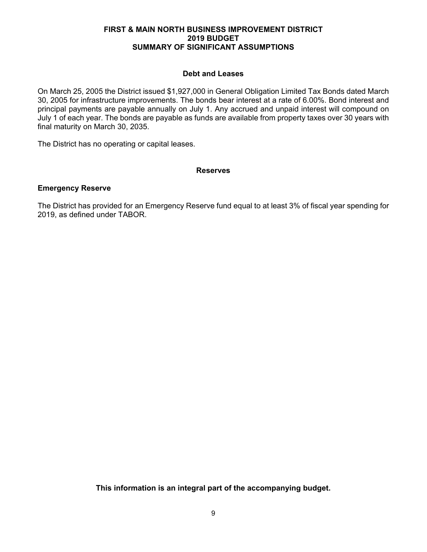#### **FIRST & MAIN NORTH BUSINESS IMPROVEMENT DISTRICT 2019 BUDGET SUMMARY OF SIGNIFICANT ASSUMPTIONS**

## **Debt and Leases**

On March 25, 2005 the District issued \$1,927,000 in General Obligation Limited Tax Bonds dated March 30, 2005 for infrastructure improvements. The bonds bear interest at a rate of 6.00%. Bond interest and principal payments are payable annually on July 1. Any accrued and unpaid interest will compound on July 1 of each year. The bonds are payable as funds are available from property taxes over 30 years with final maturity on March 30, 2035.

The District has no operating or capital leases.

## **Reserves**

## **Emergency Reserve**

The District has provided for an Emergency Reserve fund equal to at least 3% of fiscal year spending for 2019, as defined under TABOR.

**This information is an integral part of the accompanying budget.**